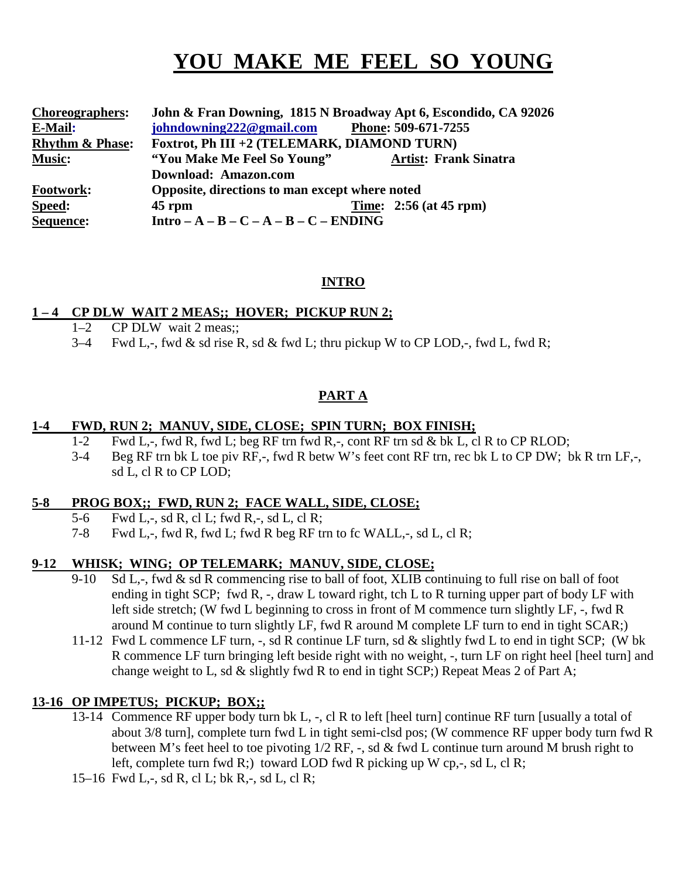# **YOU MAKE ME FEEL SO YOUNG**

| <b>Choreographers:</b>     | John & Fran Downing, 1815 N Broadway Apt 6, Escondido, CA 92026 |                              |
|----------------------------|-----------------------------------------------------------------|------------------------------|
| E-Mail:                    | johndowning222@gmail.com                                        | Phone: 509-671-7255          |
| <b>Rhythm &amp; Phase:</b> | Foxtrot, Ph III +2 (TELEMARK, DIAMOND TURN)                     |                              |
| <b>Music:</b>              | "You Make Me Feel So Young"                                     | <b>Artist: Frank Sinatra</b> |
|                            | Download: Amazon.com                                            |                              |
| <b>Footwork:</b>           | Opposite, directions to man except where noted                  |                              |
| Speed:                     | $45$ rpm                                                        | Time: $2:56$ (at 45 rpm)     |
| Sequence:                  | Intro $-A - B - C - A - B - C - ENDING$                         |                              |

#### **INTRO**

#### **1 – 4 CP DLW WAIT 2 MEAS;; HOVER; PICKUP RUN 2;**

- 1–2 CP DLW wait 2 meas;;
- 3–4 Fwd L,-, fwd & sd rise R, sd & fwd L; thru pickup W to CP LOD,-, fwd L, fwd R;

## **PART A**

#### **1-4 FWD, RUN 2; MANUV, SIDE, CLOSE; SPIN TURN; BOX FINISH;**

- 1-2 Fwd L,-, fwd R, fwd L; beg RF trn fwd R,-, cont RF trn sd & bk L, cl R to CP RLOD;
- 3-4 Beg RF trn bk L toe piv RF,-, fwd R betw W's feet cont RF trn, rec bk L to CP DW; bk R trn LF,-, sd L, cl R to CP LOD;

#### **5-8 PROG BOX;; FWD, RUN 2; FACE WALL, SIDE, CLOSE;**

- 5-6 Fwd L,-, sd R, cl L; fwd R,-, sd L, cl R;
- 7-8 Fwd L,-, fwd R, fwd L; fwd R beg RF trn to fc WALL,-, sd L, cl R;

#### **9-12 WHISK; WING; OP TELEMARK; MANUV, SIDE, CLOSE;**

- 9-10 Sd L,-, fwd & sd R commencing rise to ball of foot, XLIB continuing to full rise on ball of foot ending in tight SCP; fwd R, -, draw L toward right, tch L to R turning upper part of body LF with left side stretch; (W fwd L beginning to cross in front of M commence turn slightly LF, -, fwd R around M continue to turn slightly LF, fwd R around M complete LF turn to end in tight SCAR;)
- 11-12 Fwd L commence LF turn, -, sd R continue LF turn, sd & slightly fwd L to end in tight SCP; (W bk R commence LF turn bringing left beside right with no weight, -, turn LF on right heel [heel turn] and change weight to L, sd & slightly fwd R to end in tight SCP;) Repeat Meas 2 of Part A;

#### **13-16 OP IMPETUS; PICKUP; BOX;;**

- 13-14 Commence RF upper body turn bk L, -, cl R to left [heel turn] continue RF turn [usually a total of about 3/8 turn], complete turn fwd L in tight semi-clsd pos; (W commence RF upper body turn fwd R between M's feet heel to toe pivoting 1/2 RF, -, sd & fwd L continue turn around M brush right to left, complete turn fwd R; toward LOD fwd R picking up W cp, $-$ , sd L, cl R;
- 15–16 Fwd L,-, sd R, cl L; bk R,-, sd L, cl R;